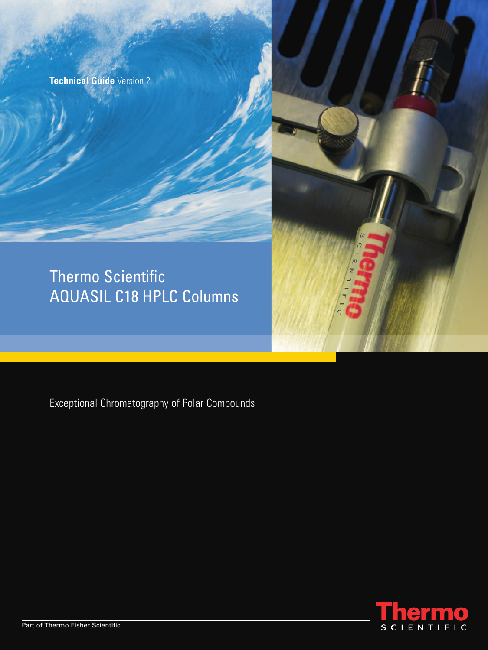**Technical Guide** Version 2

# Thermo Scientific AQUASIL C18 HPLC Columns

Exceptional Chromatography of Polar Compounds



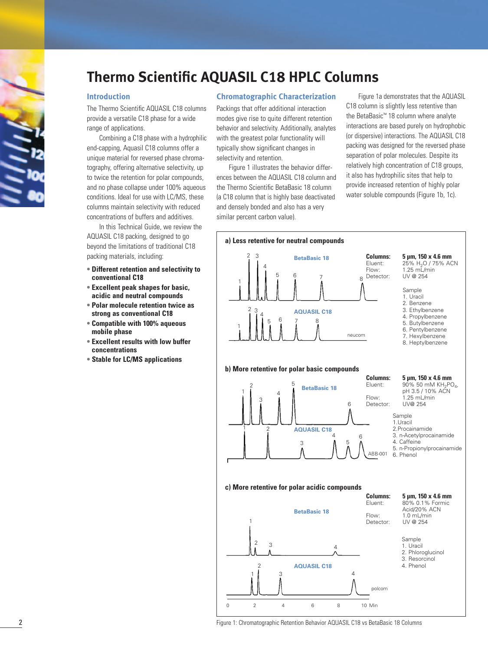

# **Thermo Scientific AQUASIL C18 HPLC Columns**

## **Introduction**

The Thermo Scientific AQUASIL C18 columns provide a versatile C18 phase for a wide range of applications.

Combining a C18 phase with a hydrophilic end-capping, Aquasil C18 columns offer a unique material for reversed phase chromatography, offering alternative selectivity, up to twice the retention for polar compounds, and no phase collapse under 100% aqueous conditions. Ideal for use with LC/MS, these columns maintain selectivity with reduced concentrations of buffers and additives.

In this Technical Guide, we review the AQUASIL C18 packing, designed to go beyond the limitations of traditional C18 packing materials, including:

- **• Different retention and selectivity to conventional C18**
- **• Excellent peak shapes for basic, acidic and neutral compounds**
- **• Polar molecule retention twice as strong as conventional C18**
- **• Compatible with 100% aqueous mobile phase**
- **• Excellent results with low buffer concentrations**
- **• Stable for LC/MS applications**

#### **Chromatographic Characterization**

Packings that offer additional interaction modes give rise to quite different retention behavior and selectivity. Additionally, analytes with the greatest polar functionality will typically show significant changes in selectivity and retention.

Figure 1 illustrates the behavior differences between the AQUASIL C18 column and the Thermo Scientific BetaBasic 18 column (a C18 column that is highly base deactivated and densely bonded and also has a very similar percent carbon value).

Figure 1a demonstrates that the AQUASIL C18 column is slightly less retentive than the BetaBasic™ 18 column where analyte interactions are based purely on hydrophobic (or dispersive) interactions. The AQUASIL C18 packing was designed for the reversed phase separation of polar molecules. Despite its relatively high concentration of C18 groups, it also has hydrophilic sites that help to provide increased retention of highly polar water soluble compounds (Figure 1b, 1c).

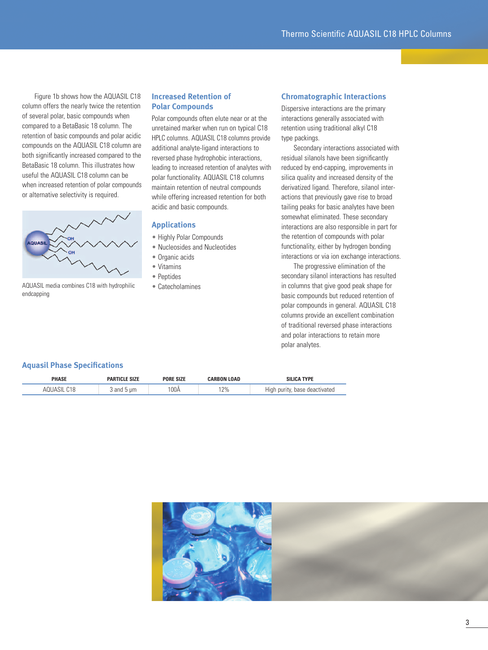Figure 1b shows how the AQUASIL C18 column offers the nearly twice the retention of several polar, basic compounds when compared to a BetaBasic 18 column. The retention of basic compounds and polar acidic compounds on the AQUASIL C18 column are both significantly increased compared to the BetaBasic 18 column. This illustrates how useful the AQUASIL C18 column can be when increased retention of polar compounds or alternative selectivity is required.



AQUASIL media combines C18 with hydrophilic endcapping

# **Increased Retention of Polar Compounds**

Polar compounds often elute near or at the unretained marker when run on typical C18 HPLC columns. AQUASIL C18 columns provide additional analyte-ligand interactions to reversed phase hydrophobic interactions, leading to increased retention of analytes with polar functionality. AQUASIL C18 columns maintain retention of neutral compounds while offering increased retention for both acidic and basic compounds.

# **Applications**

- Highly Polar Compounds
- Nucleosides and Nucleotides
- Organic acids
- Vitamins
- Peptides
- Catecholamines

#### **Chromatographic Interactions**

Dispersive interactions are the primary interactions generally associated with retention using traditional alkyl C18 type packings.

Secondary interactions associated with residual silanols have been significantly reduced by end-capping, improvements in silica quality and increased density of the derivatized ligand. Therefore, silanol interactions that previously gave rise to broad tailing peaks for basic analytes have been somewhat eliminated. These secondary interactions are also responsible in part for the retention of compounds with polar functionality, either by hydrogen bonding interactions or via ion exchange interactions.

The progressive elimination of the secondary silanol interactions has resulted in columns that give good peak shape for basic compounds but reduced retention of polar compounds in general. AQUASIL C18 columns provide an excellent combination of traditional reversed phase interactions and polar interactions to retain more polar analytes.

# **Aquasil Phase Specifications**

| гплэг |           | <b>SIZE</b><br>'UKE | <b>LOAD</b><br>mus | <b>TYPF</b>                                    |
|-------|-----------|---------------------|--------------------|------------------------------------------------|
|       | 200<br>um | 100Å                | 12%                | High<br>*ivated<br>$n$ $n$ $n$<br>nase<br>deac |

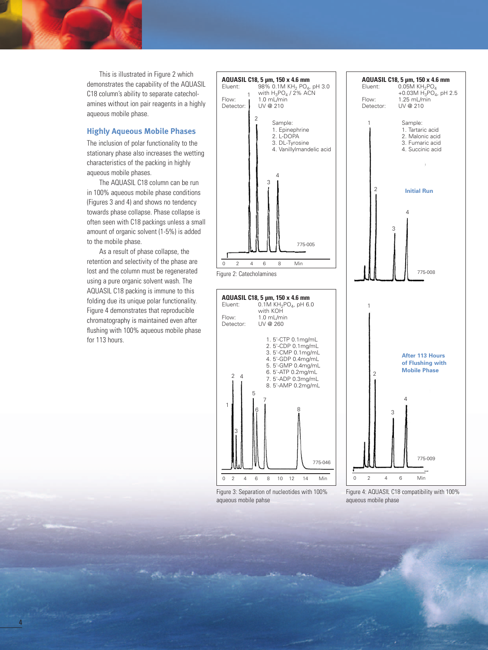This is illustrated in Figure 2 which demonstrates the capability of the AQUASIL C18 column's ability to separate catecholamines without ion pair reagents in a highly aqueous mobile phase.

# **Highly Aqueous Mobile Phases**

The inclusion of polar functionality to the stationary phase also increases the wetting characteristics of the packing in highly aqueous mobile phases.

The AQUASIL C18 column can be run in 100% aqueous mobile phase conditions (Figures 3 and 4) and shows no tendency towards phase collapse. Phase collapse is often seen with C18 packings unless a small amount of organic solvent (1-5%) is added to the mobile phase.

As a result of phase collapse, the retention and selectivity of the phase are lost and the column must be regenerated using a pure organic solvent wash. The AQUASIL C18 packing is immune to this folding due its unique polar functionality. Figure 4 demonstrates that reproducible chromatography is maintained even after flushing with 100% aqueous mobile phase for 113 hours.



Figure 3: Separation of nucleotides with 100% aqueous mobile pahse

Figure 4: AQUASIL C18 compatibility with 100% aqueous mobile phase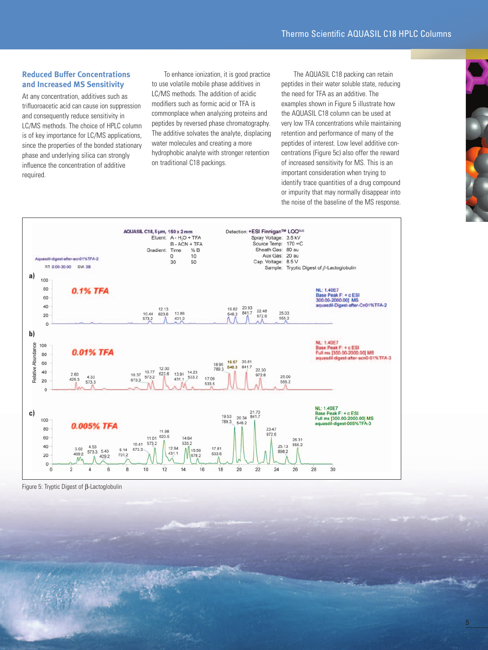# **Reduced Buffer Concentrations and Increased MS Sensitivity**

At any concentration, additives such as trifluoroacetic acid can cause ion suppression and consequently reduce sensitivity in LC/MS methods. The choice of HPLC column is of key importance for LC/MS applications, since the properties of the bonded stationary phase and underlying silica can strongly influence the concentration of additive required.

To enhance ionization, it is good practice to use volatile mobile phase additives in LC/MS methods. The addition of acidic modifiers such as formic acid or TFA is commonplace when analyzing proteins and peptides by reversed phase chromatography. The additive solvates the analyte, displacing water molecules and creating a more hydrophobic analyte with stronger retention on traditional C18 packings.

The AQUASIL C18 packing can retain peptides in their water soluble state, reducing the need for TFA as an additive. The examples shown in Figure 5 illustrate how the AQUASIL C18 column can be used at very low TFA concentrations while maintaining retention and performance of many of the peptides of interest. Low level additive concentrations (Figure 5c) also offer the reward of increased sensitivity for MS. This is an important consideration when trying to identify trace quantities of a drug compound or impurity that may normally disappear into the noise of the baseline of the MS response.



Figure 5: Tryptic Digest of β-Lactoglobulin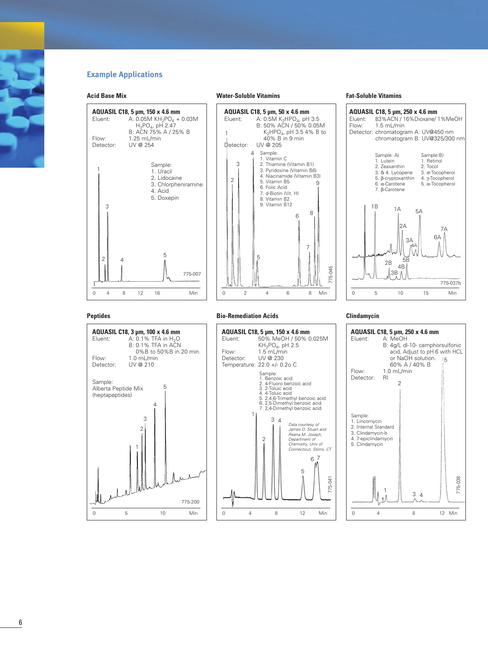# **Example Applications**

**AQUASIL C18, 5 µm, 150 x 4.6 mm**<br>Eluent: A: 0.05M KH<sub>2</sub>PO<sub>4</sub> +

Flow: 1.25 mL/min<br>Detector: UV @ 254

Sample: 1. Uracil 2. Lidocaine

B: ACN 75% A / 25% B

4. Acid 5. Doxepin

5

# **Acid Base Mix**

Detector:

1

#### **Water-Soluble Vitamins**



## **Fat-Soluble Vitamins**



#### **Peptides**

2

4

3



#### **Bio-Remediation Acids**



#### **Clindamycin**

775-045

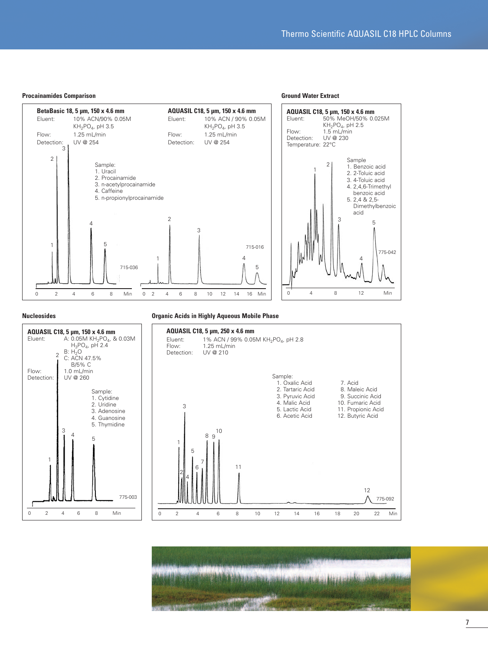

### **Nucleosides**

#### **Organic Acids in Highly Aqueous Mobile Phase**